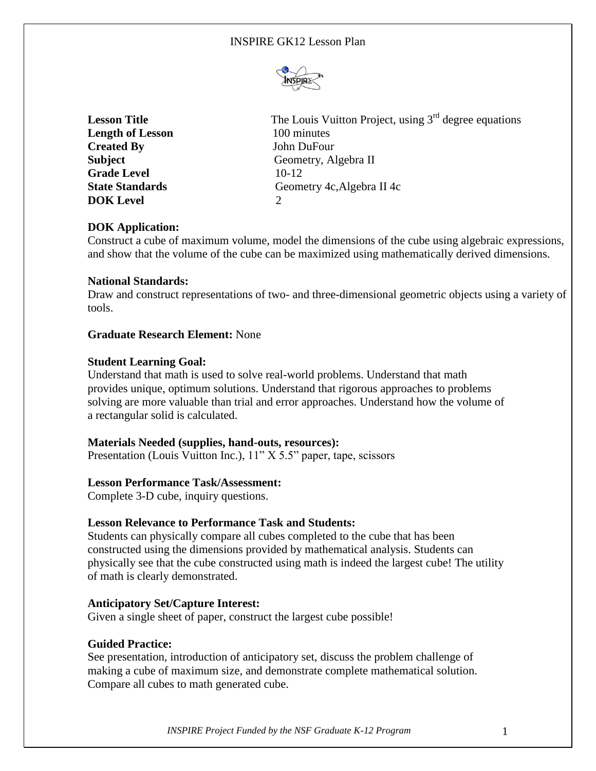

| <b>Lesson Title</b>     | The Louis Vuitton Project, using $3rd$ degree equations |
|-------------------------|---------------------------------------------------------|
| <b>Length of Lesson</b> | 100 minutes                                             |
| <b>Created By</b>       | John DuFour                                             |
| <b>Subject</b>          | Geometry, Algebra II                                    |
| <b>Grade Level</b>      | $10-12$                                                 |
| <b>State Standards</b>  | Geometry 4c, Algebra II 4c                              |
| <b>DOK</b> Level        |                                                         |
|                         |                                                         |

# **DOK Application:**

Construct a cube of maximum volume, model the dimensions of the cube using algebraic expressions, and show that the volume of the cube can be maximized using mathematically derived dimensions.

# **National Standards:**

Draw and construct representations of two- and three-dimensional geometric objects using a variety of tools.

# **Graduate Research Element:** None

# **Student Learning Goal:**

Understand that math is used to solve real-world problems. Understand that math provides unique, optimum solutions. Understand that rigorous approaches to problems solving are more valuable than trial and error approaches. Understand how the volume of a rectangular solid is calculated.

### **Materials Needed (supplies, hand-outs, resources):**

Presentation (Louis Vuitton Inc.), 11" X 5.5" paper, tape, scissors

### **Lesson Performance Task/Assessment:**

Complete 3-D cube, inquiry questions.

### **Lesson Relevance to Performance Task and Students:**

Students can physically compare all cubes completed to the cube that has been constructed using the dimensions provided by mathematical analysis. Students can physically see that the cube constructed using math is indeed the largest cube! The utility of math is clearly demonstrated.

### **Anticipatory Set/Capture Interest:**

Given a single sheet of paper, construct the largest cube possible!

### **Guided Practice:**

See presentation, introduction of anticipatory set, discuss the problem challenge of making a cube of maximum size, and demonstrate complete mathematical solution. Compare all cubes to math generated cube.